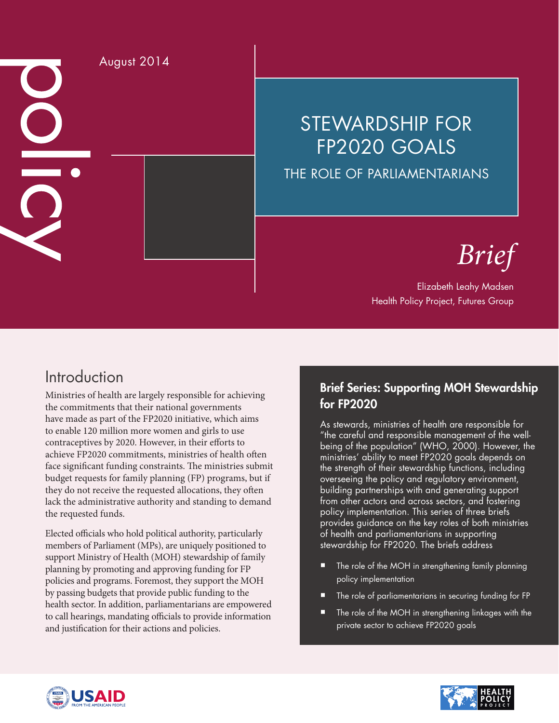August 2014 O

## STEWARDSHIP FOR FP2020 GOALS THE ROLE OF PARLIAMENTARIANS

# *Brief*

#### Elizabeth Leahy Madsen Health Policy Project, Futures Group

### Introduction

Ministries of health are largely responsible for achieving the commitments that their national governments have made as part of the FP2020 initiative, which aims to enable 120 million more women and girls to use contraceptives by 2020. However, in their efforts to achieve FP2020 commitments, ministries of health often face significant funding constraints. The ministries submit budget requests for family planning (FP) programs, but if they do not receive the requested allocations, they often lack the administrative authority and standing to demand the requested funds.

Elected officials who hold political authority, particularly members of Parliament (MPs), are uniquely positioned to support Ministry of Health (MOH) stewardship of family planning by promoting and approving funding for FP policies and programs. Foremost, they support the MOH by passing budgets that provide public funding to the health sector. In addition, parliamentarians are empowered to call hearings, mandating officials to provide information and justification for their actions and policies.

#### Brief Series: Supporting MOH Stewardship for FP2020

As stewards, ministries of health are responsible for "the careful and responsible management of the wellbeing of the population" (WHO, 2000). However, the ministries' ability to meet FP2020 goals depends on the strength of their stewardship functions, including overseeing the policy and regulatory environment, building partnerships with and generating support from other actors and across sectors, and fostering policy implementation. This series of three briefs provides guidance on the key roles of both ministries of health and parliamentarians in supporting stewardship for FP2020. The briefs address

- The role of the MOH in strengthening family planning policy implementation
- The role of parliamentarians in securing funding for FP
- The role of the MOH in strengthening linkages with the private sector to achieve FP2020 goals



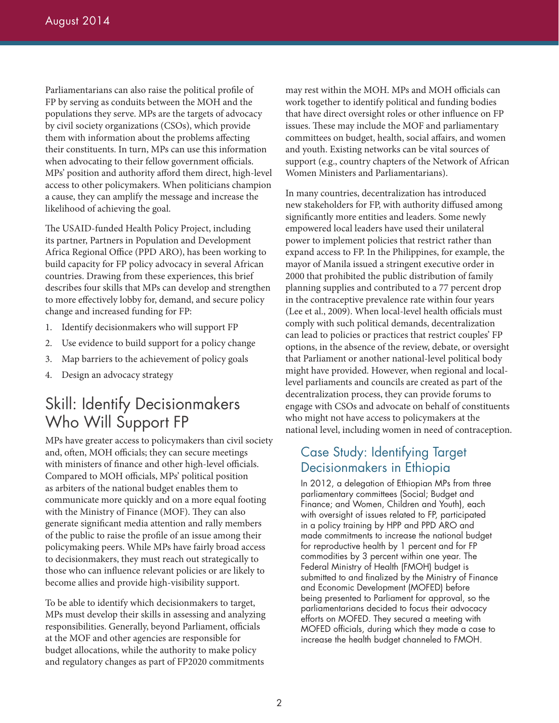Parliamentarians can also raise the political profile of FP by serving as conduits between the MOH and the populations they serve. MPs are the targets of advocacy by civil society organizations (CSOs), which provide them with information about the problems affecting their constituents. In turn, MPs can use this information when advocating to their fellow government officials. MPs' position and authority afford them direct, high-level access to other policymakers. When politicians champion a cause, they can amplify the message and increase the likelihood of achieving the goal.

The USAID-funded Health Policy Project, including its partner, Partners in Population and Development Africa Regional Office (PPD ARO), has been working to build capacity for FP policy advocacy in several African countries. Drawing from these experiences, this brief describes four skills that MPs can develop and strengthen to more effectively lobby for, demand, and secure policy change and increased funding for FP:

- 1. Identify decisionmakers who will support FP
- 2. Use evidence to build support for a policy change
- 3. Map barriers to the achievement of policy goals
- 4. Design an advocacy strategy

### Skill: Identify Decisionmakers Who Will Support FP

MPs have greater access to policymakers than civil society and, often, MOH officials; they can secure meetings with ministers of finance and other high-level officials. Compared to MOH officials, MPs' political position as arbiters of the national budget enables them to communicate more quickly and on a more equal footing with the Ministry of Finance (MOF). They can also generate significant media attention and rally members of the public to raise the profile of an issue among their policymaking peers. While MPs have fairly broad access to decisionmakers, they must reach out strategically to those who can influence relevant policies or are likely to become allies and provide high-visibility support.

To be able to identify which decisionmakers to target, MPs must develop their skills in assessing and analyzing responsibilities. Generally, beyond Parliament, officials at the MOF and other agencies are responsible for budget allocations, while the authority to make policy and regulatory changes as part of FP2020 commitments

may rest within the MOH. MPs and MOH officials can work together to identify political and funding bodies that have direct oversight roles or other influence on FP issues. These may include the MOF and parliamentary committees on budget, health, social affairs, and women and youth. Existing networks can be vital sources of support (e.g., country chapters of the Network of African Women Ministers and Parliamentarians).

In many countries, decentralization has introduced new stakeholders for FP, with authority diffused among significantly more entities and leaders. Some newly empowered local leaders have used their unilateral power to implement policies that restrict rather than expand access to FP. In the Philippines, for example, the mayor of Manila issued a stringent executive order in 2000 that prohibited the public distribution of family planning supplies and contributed to a 77 percent drop in the contraceptive prevalence rate within four years (Lee et al., 2009). When local-level health officials must comply with such political demands, decentralization can lead to policies or practices that restrict couples' FP options, in the absence of the review, debate, or oversight that Parliament or another national-level political body might have provided. However, when regional and locallevel parliaments and councils are created as part of the decentralization process, they can provide forums to engage with CSOs and advocate on behalf of constituents who might not have access to policymakers at the national level, including women in need of contraception.

#### Case Study: Identifying Target Decisionmakers in Ethiopia

In 2012, a delegation of Ethiopian MPs from three parliamentary committees (Social; Budget and Finance; and Women, Children and Youth), each with oversight of issues related to FP, participated in a policy training by HPP and PPD ARO and made commitments to increase the national budget for reproductive health by 1 percent and for FP commodities by 3 percent within one year. The Federal Ministry of Health (FMOH) budget is submitted to and finalized by the Ministry of Finance and Economic Development (MOFED) before being presented to Parliament for approval, so the parliamentarians decided to focus their advocacy efforts on MOFED. They secured a meeting with MOFED officials, during which they made a case to increase the health budget channeled to FMOH.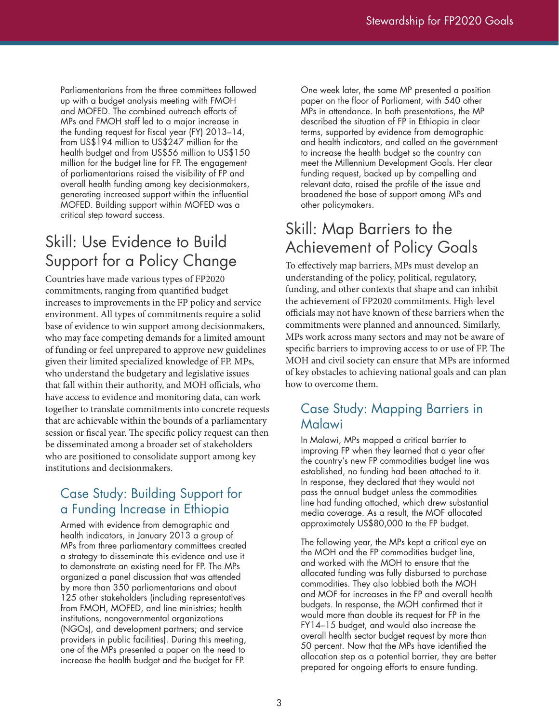Parliamentarians from the three committees followed up with a budget analysis meeting with FMOH and MOFED. The combined outreach efforts of MPs and FMOH staff led to a major increase in the funding request for fiscal year (FY) 2013–14, from US\$194 million to US\$247 million for the health budget and from US\$56 million to US\$150 million for the budget line for FP. The engagement of parliamentarians raised the visibility of FP and overall health funding among key decisionmakers, generating increased support within the influential MOFED. Building support within MOFED was a critical step toward success.

### Skill: Use Evidence to Build Support for a Policy Change

Countries have made various types of FP2020 commitments, ranging from quantified budget increases to improvements in the FP policy and service environment. All types of commitments require a solid base of evidence to win support among decisionmakers, who may face competing demands for a limited amount of funding or feel unprepared to approve new guidelines given their limited specialized knowledge of FP. MPs, who understand the budgetary and legislative issues that fall within their authority, and MOH officials, who have access to evidence and monitoring data, can work together to translate commitments into concrete requests that are achievable within the bounds of a parliamentary session or fiscal year. The specific policy request can then be disseminated among a broader set of stakeholders who are positioned to consolidate support among key institutions and decisionmakers.

#### Case Study: Building Support for a Funding Increase in Ethiopia

Armed with evidence from demographic and health indicators, in January 2013 a group of MPs from three parliamentary committees created a strategy to disseminate this evidence and use it to demonstrate an existing need for FP. The MPs organized a panel discussion that was attended by more than 350 parliamentarians and about 125 other stakeholders (including representatives from FMOH, MOFED, and line ministries; health institutions, nongovernmental organizations (NGOs), and development partners; and service providers in public facilities). During this meeting, one of the MPs presented a paper on the need to increase the health budget and the budget for FP.

One week later, the same MP presented a position paper on the floor of Parliament, with 540 other MPs in attendance. In both presentations, the MP described the situation of FP in Ethiopia in clear terms, supported by evidence from demographic and health indicators, and called on the government to increase the health budget so the country can meet the Millennium Development Goals. Her clear funding request, backed up by compelling and relevant data, raised the profile of the issue and broadened the base of support among MPs and other policymakers.

### Skill: Map Barriers to the Achievement of Policy Goals

To effectively map barriers, MPs must develop an understanding of the policy, political, regulatory, funding, and other contexts that shape and can inhibit the achievement of FP2020 commitments. High-level officials may not have known of these barriers when the commitments were planned and announced. Similarly, MPs work across many sectors and may not be aware of specific barriers to improving access to or use of FP. The MOH and civil society can ensure that MPs are informed of key obstacles to achieving national goals and can plan how to overcome them.

#### Case Study: Mapping Barriers in Malawi

In Malawi, MPs mapped a critical barrier to improving FP when they learned that a year after the country's new FP commodities budget line was established, no funding had been attached to it. In response, they declared that they would not pass the annual budget unless the commodities line had funding attached, which drew substantial media coverage. As a result, the MOF allocated approximately US\$80,000 to the FP budget.

The following year, the MPs kept a critical eye on the MOH and the FP commodities budget line, and worked with the MOH to ensure that the allocated funding was fully disbursed to purchase commodities. They also lobbied both the MOH and MOF for increases in the FP and overall health budgets. In response, the MOH confirmed that it would more than double its request for FP in the FY14–15 budget, and would also increase the overall health sector budget request by more than 50 percent. Now that the MPs have identified the allocation step as a potential barrier, they are better prepared for ongoing efforts to ensure funding.